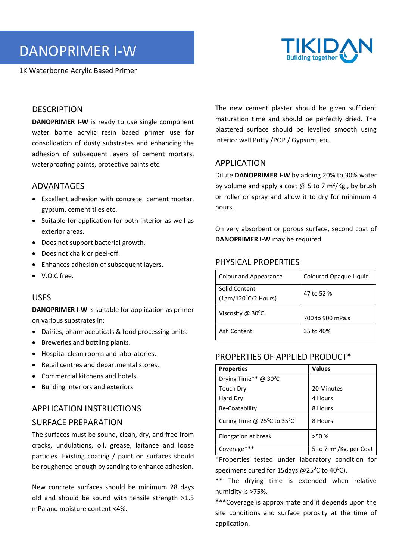DANOPRIMER I‐W

1K Waterborne Acrylic Based Primer



## **DESCRIPTION**

**DANOPRIMER I-W** is ready to use single component water borne acrylic resin based primer use for consolidation of dusty substrates and enhancing the adhesion of subsequent layers of cement mortars, waterproofing paints, protective paints etc.

#### ADVANTAGES

- Excellent adhesion with concrete, cement mortar, gypsum, cement tiles etc.
- Suitable for application for both interior as well as exterior areas.
- Does not support bacterial growth.
- Does not chalk or peel-off.
- Enhances adhesion of subsequent layers.
- V.O.C free.

#### USES

**DANOPRIMER I‐W** is suitable for application as primer on various substrates in:

- Dairies, pharmaceuticals & food processing units.
- Breweries and bottling plants.
- Hospital clean rooms and laboratories.
- Retail centres and departmental stores.
- Commercial kitchens and hotels.
- Building interiors and exteriors.

# APPLICATION INSTRUCTIONS SURFACE PREPARATION

The surfaces must be sound, clean, dry, and free from cracks, undulations, oil, grease, laitance and loose particles. Existing coating / paint on surfaces should be roughened enough by sanding to enhance adhesion.

New concrete surfaces should be minimum 28 days old and should be sound with tensile strength >1.5 mPa and moisture content <4%.

The new cement plaster should be given sufficient maturation time and should be perfectly dried. The plastered surface should be levelled smooth using interior wall Putty /POP / Gypsum, etc.

# APPLICATION

Dilute **DANOPRIMER I‐W** by adding 20% to 30% water by volume and apply a coat  $\omega$  5 to 7 m<sup>2</sup>/Kg., by brush or roller or spray and allow it to dry for minimum 4 hours.

On very absorbent or porous surface, second coat of **DANOPRIMER I‐W** may be required.

#### PHYSICAL PROPERTIES

| Colour and Appearance                         | Coloured Opaque Liquid |
|-----------------------------------------------|------------------------|
| Solid Content<br>$(1gm/120^{\circ}C/2$ Hours) | 47 to 52 %             |
| Viscosity $@$ 30 <sup>o</sup> C               | 700 to 900 mPa.s       |
| Ash Content                                   | 35 to 40%              |

# PROPERTIES OF APPLIED PRODUCT\*

| <b>Properties</b>                                 | <b>Values</b>              |
|---------------------------------------------------|----------------------------|
| Drying Time** @ 30°C                              |                            |
| Touch Dry                                         | 20 Minutes                 |
| Hard Dry                                          | 4 Hours                    |
| Re-Coatability                                    | 8 Hours                    |
| Curing Time @ $25^{\circ}$ C to 35 <sup>o</sup> C | 8 Hours                    |
| Elongation at break                               | >50%                       |
| Coverage***                                       | 5 to 7 $m^2$ /Kg. per Coat |

\*Properties tested under laboratory condition for specimens cured for 15 days @ 25 $\mathrm{^0C}$  to 40 $\mathrm{^0C}$ ).

\*\* The drying time is extended when relative humidity is >75%.

\*\*\*Coverage is approximate and it depends upon the site conditions and surface porosity at the time of application.